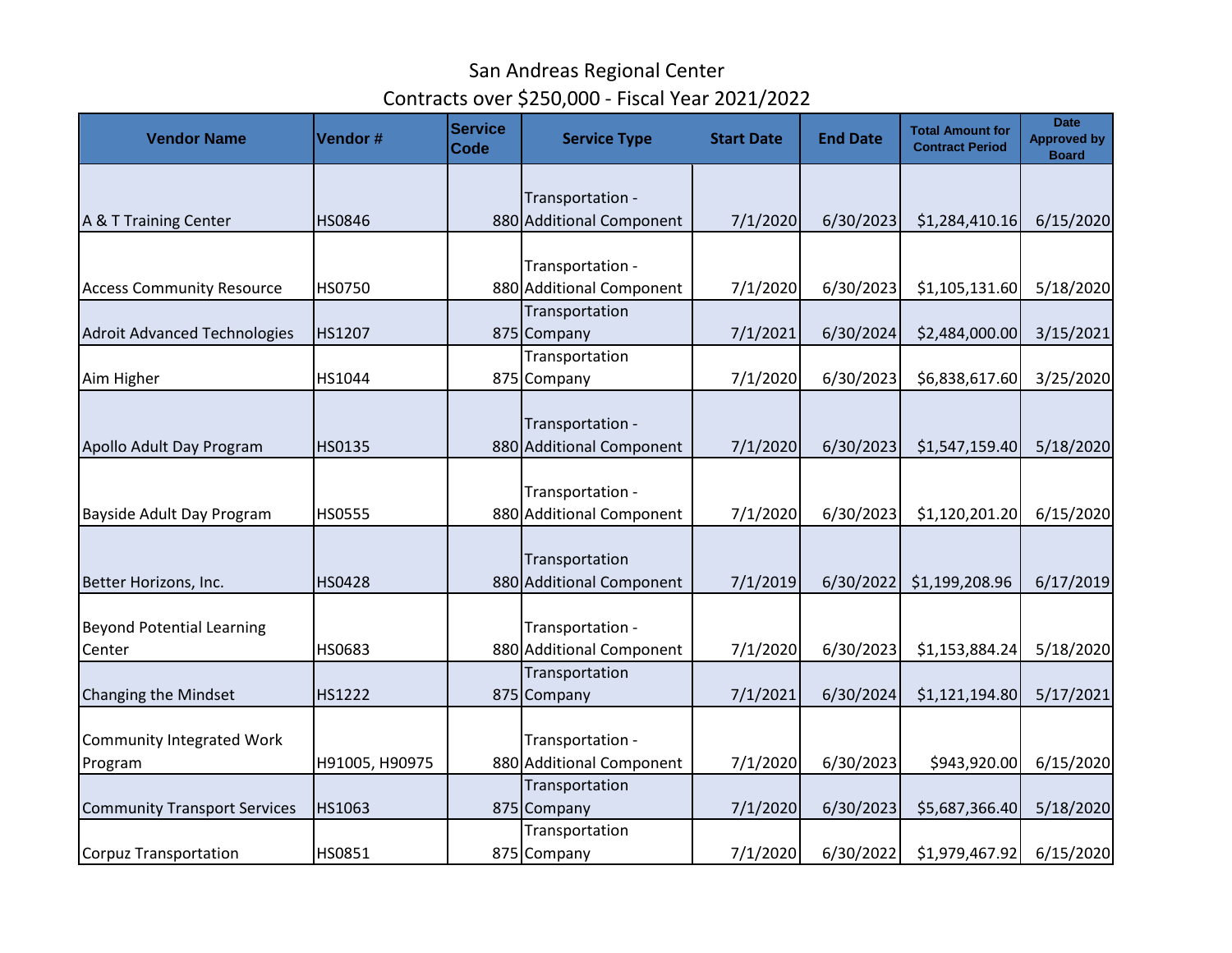| <b>Vendor Name</b>                  | Vendor #       | <b>Service</b><br><b>Code</b> | <b>Service Type</b>                          | <b>Start Date</b> | <b>End Date</b> | <b>Total Amount for</b><br><b>Contract Period</b> | <b>Date</b><br><b>Approved by</b><br><b>Board</b> |
|-------------------------------------|----------------|-------------------------------|----------------------------------------------|-------------------|-----------------|---------------------------------------------------|---------------------------------------------------|
|                                     |                |                               |                                              |                   |                 |                                                   |                                                   |
| A & T Training Center               | <b>HS0846</b>  |                               | Transportation -<br>880 Additional Component | 7/1/2020          | 6/30/2023       | \$1,284,410.16                                    | 6/15/2020                                         |
|                                     |                |                               |                                              |                   |                 |                                                   |                                                   |
|                                     |                |                               | Transportation -                             |                   |                 |                                                   |                                                   |
| <b>Access Community Resource</b>    | <b>HS0750</b>  |                               | 880 Additional Component                     | 7/1/2020          | 6/30/2023       | \$1,105,131.60                                    | 5/18/2020                                         |
|                                     |                |                               | Transportation                               |                   |                 |                                                   |                                                   |
| <b>Adroit Advanced Technologies</b> | HS1207         |                               | 875 Company                                  | 7/1/2021          | 6/30/2024       | \$2,484,000.00                                    | 3/15/2021                                         |
|                                     |                |                               | Transportation                               |                   |                 |                                                   |                                                   |
| Aim Higher                          | HS1044         |                               | 875 Company                                  | 7/1/2020          | 6/30/2023       | \$6,838,617.60                                    | 3/25/2020                                         |
|                                     |                |                               | Transportation -                             |                   |                 |                                                   |                                                   |
| Apollo Adult Day Program            | HS0135         |                               | 880 Additional Component                     | 7/1/2020          | 6/30/2023       | \$1,547,159.40                                    | 5/18/2020                                         |
|                                     |                |                               |                                              |                   |                 |                                                   |                                                   |
|                                     |                |                               | Transportation -                             |                   |                 |                                                   |                                                   |
| Bayside Adult Day Program           | <b>HS0555</b>  |                               | 880 Additional Component                     | 7/1/2020          | 6/30/2023       | \$1,120,201.20                                    | 6/15/2020                                         |
|                                     |                |                               |                                              |                   |                 |                                                   |                                                   |
|                                     |                |                               | Transportation                               |                   |                 |                                                   |                                                   |
| Better Horizons, Inc.               | <b>HS0428</b>  |                               | 880 Additional Component                     | 7/1/2019          | 6/30/2022       | \$1,199,208.96                                    | 6/17/2019                                         |
|                                     |                |                               |                                              |                   |                 |                                                   |                                                   |
| <b>Beyond Potential Learning</b>    |                |                               | Transportation -                             |                   |                 |                                                   |                                                   |
| Center                              | HS0683         |                               | 880 Additional Component                     | 7/1/2020          | 6/30/2023       | \$1,153,884.24                                    | 5/18/2020                                         |
|                                     |                |                               | Transportation                               |                   |                 |                                                   |                                                   |
| <b>Changing the Mindset</b>         | HS1222         |                               | 875 Company                                  | 7/1/2021          | 6/30/2024       | \$1,121,194.80                                    | 5/17/2021                                         |
|                                     |                |                               |                                              |                   |                 |                                                   |                                                   |
| <b>Community Integrated Work</b>    |                |                               | Transportation -                             |                   |                 |                                                   |                                                   |
| Program                             | H91005, H90975 |                               | 880 Additional Component                     | 7/1/2020          | 6/30/2023       | \$943,920.00                                      | 6/15/2020                                         |
|                                     |                |                               | Transportation                               |                   |                 |                                                   |                                                   |
| <b>Community Transport Services</b> | HS1063         |                               | 875 Company                                  | 7/1/2020          | 6/30/2023       | \$5,687,366.40                                    | 5/18/2020                                         |
|                                     |                |                               | Transportation                               |                   |                 |                                                   |                                                   |
| <b>Corpuz Transportation</b>        | HS0851         |                               | 875 Company                                  | 7/1/2020          | 6/30/2022       | \$1,979,467.92                                    | 6/15/2020                                         |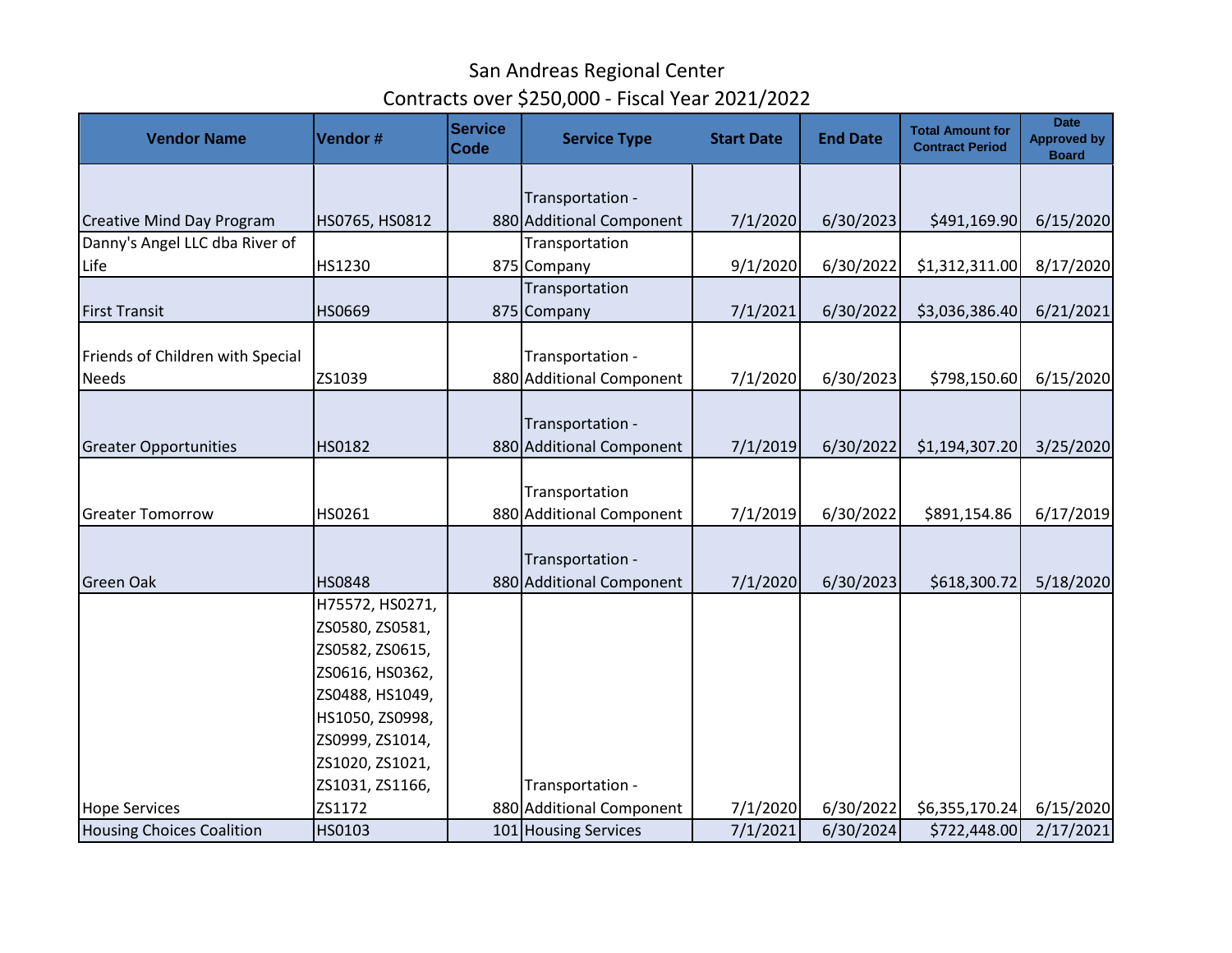| <b>Vendor Name</b>               | Vendor#         | <b>Service</b><br><b>Code</b> | <b>Service Type</b>                          | <b>Start Date</b> | <b>End Date</b> | <b>Total Amount for</b><br><b>Contract Period</b> | <b>Date</b><br><b>Approved by</b><br><b>Board</b> |
|----------------------------------|-----------------|-------------------------------|----------------------------------------------|-------------------|-----------------|---------------------------------------------------|---------------------------------------------------|
|                                  |                 |                               |                                              |                   |                 |                                                   |                                                   |
| <b>Creative Mind Day Program</b> | HS0765, HS0812  |                               | Transportation -<br>880 Additional Component | 7/1/2020          | 6/30/2023       | \$491,169.90                                      | 6/15/2020                                         |
| Danny's Angel LLC dba River of   |                 |                               | Transportation                               |                   |                 |                                                   |                                                   |
| Life                             | HS1230          |                               | 875 Company                                  | 9/1/2020          | 6/30/2022       | \$1,312,311.00                                    | 8/17/2020                                         |
|                                  |                 |                               | Transportation                               |                   |                 |                                                   |                                                   |
| <b>First Transit</b>             | HS0669          |                               | 875 Company                                  | 7/1/2021          | 6/30/2022       | \$3,036,386.40                                    | 6/21/2021                                         |
|                                  |                 |                               |                                              |                   |                 |                                                   |                                                   |
| Friends of Children with Special |                 |                               | Transportation -                             |                   |                 |                                                   |                                                   |
| <b>Needs</b>                     | ZS1039          |                               | 880 Additional Component                     | 7/1/2020          | 6/30/2023       | \$798,150.60                                      | 6/15/2020                                         |
|                                  |                 |                               |                                              |                   |                 |                                                   |                                                   |
|                                  |                 |                               | Transportation -                             |                   |                 |                                                   |                                                   |
| <b>Greater Opportunities</b>     | HS0182          |                               | 880 Additional Component                     | 7/1/2019          | 6/30/2022       | \$1,194,307.20                                    | 3/25/2020                                         |
|                                  |                 |                               | Transportation                               |                   |                 |                                                   |                                                   |
| <b>Greater Tomorrow</b>          | HS0261          |                               | 880 Additional Component                     | 7/1/2019          | 6/30/2022       | \$891,154.86                                      | 6/17/2019                                         |
|                                  |                 |                               |                                              |                   |                 |                                                   |                                                   |
|                                  |                 |                               | Transportation -                             |                   |                 |                                                   |                                                   |
| <b>Green Oak</b>                 | <b>HS0848</b>   |                               | 880 Additional Component                     | 7/1/2020          | 6/30/2023       | \$618,300.72                                      | 5/18/2020                                         |
|                                  | H75572, HS0271, |                               |                                              |                   |                 |                                                   |                                                   |
|                                  | ZS0580, ZS0581, |                               |                                              |                   |                 |                                                   |                                                   |
|                                  | ZS0582, ZS0615, |                               |                                              |                   |                 |                                                   |                                                   |
|                                  | ZS0616, HS0362, |                               |                                              |                   |                 |                                                   |                                                   |
|                                  | ZS0488, HS1049, |                               |                                              |                   |                 |                                                   |                                                   |
|                                  | HS1050, ZS0998, |                               |                                              |                   |                 |                                                   |                                                   |
|                                  | ZS0999, ZS1014, |                               |                                              |                   |                 |                                                   |                                                   |
|                                  | ZS1020, ZS1021, |                               |                                              |                   |                 |                                                   |                                                   |
|                                  | ZS1031, ZS1166, |                               | Transportation -                             |                   |                 |                                                   |                                                   |
| <b>Hope Services</b>             | ZS1172          |                               | 880 Additional Component                     | 7/1/2020          | 6/30/2022       | \$6,355,170.24]                                   | 6/15/2020                                         |
| <b>Housing Choices Coalition</b> | HS0103          |                               | 101 Housing Services                         | 7/1/2021          | 6/30/2024       | \$722,448.00                                      | 2/17/2021                                         |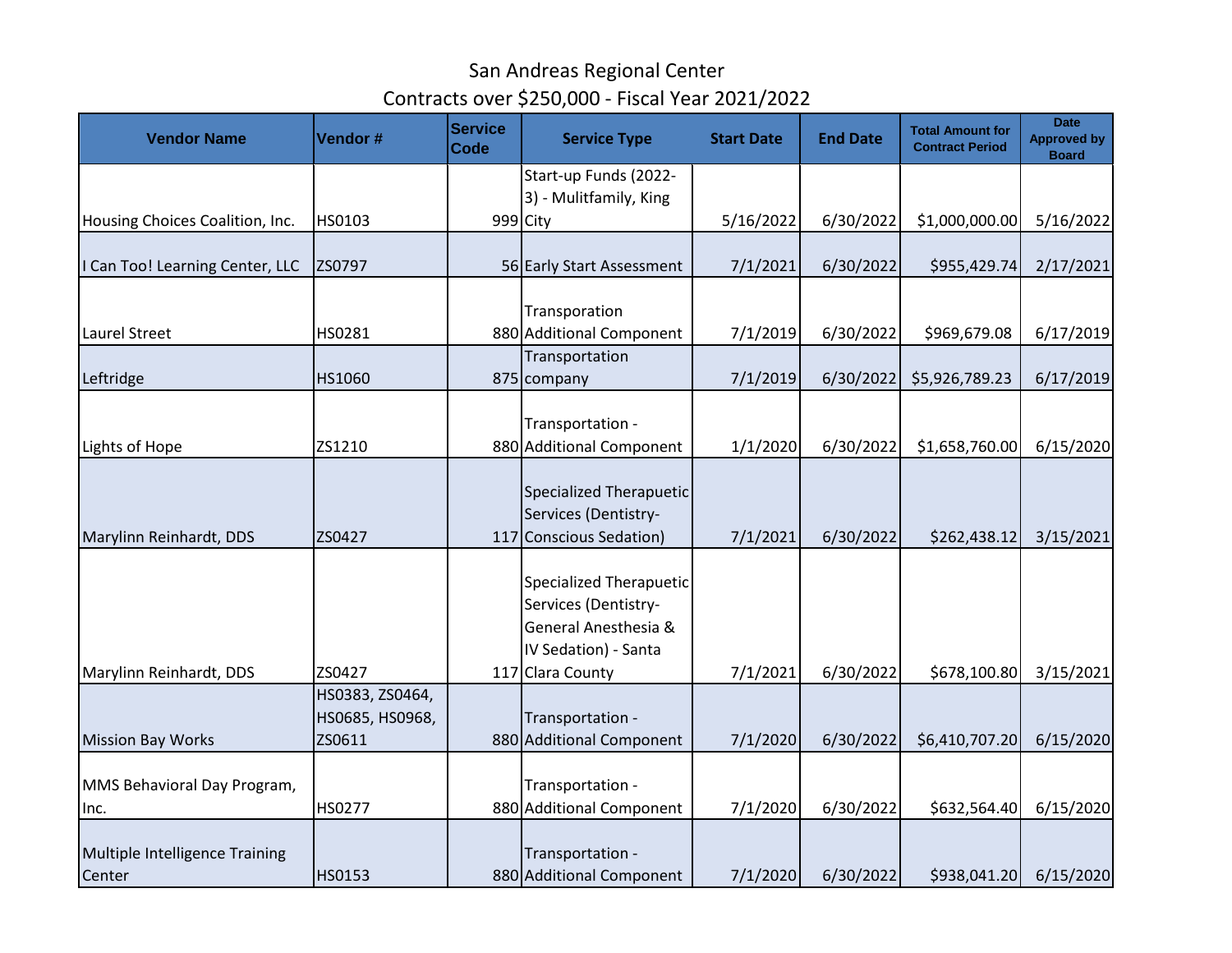| <b>Vendor Name</b>                       | Vendor#                                      | <b>Service</b><br><b>Code</b> | <b>Service Type</b>                                                                                    | <b>Start Date</b> | <b>End Date</b> | <b>Total Amount for</b><br><b>Contract Period</b> | <b>Date</b><br><b>Approved by</b><br><b>Board</b> |
|------------------------------------------|----------------------------------------------|-------------------------------|--------------------------------------------------------------------------------------------------------|-------------------|-----------------|---------------------------------------------------|---------------------------------------------------|
|                                          |                                              |                               | Start-up Funds (2022-                                                                                  |                   |                 |                                                   |                                                   |
|                                          |                                              |                               | 3) - Mulitfamily, King                                                                                 |                   |                 |                                                   |                                                   |
| Housing Choices Coalition, Inc.          | HS0103                                       |                               | 999 City                                                                                               | 5/16/2022         | 6/30/2022       | \$1,000,000.00                                    | 5/16/2022                                         |
| I Can Too! Learning Center, LLC          | ZS0797                                       |                               | 56 Early Start Assessment                                                                              | 7/1/2021          | 6/30/2022       | \$955,429.74                                      | 2/17/2021                                         |
|                                          |                                              |                               | Transporation                                                                                          |                   |                 |                                                   |                                                   |
| <b>Laurel Street</b>                     | HS0281                                       |                               | 880 Additional Component                                                                               | 7/1/2019          | 6/30/2022       | \$969,679.08                                      | 6/17/2019                                         |
|                                          |                                              |                               | Transportation                                                                                         |                   |                 |                                                   |                                                   |
| Leftridge                                | HS1060                                       |                               | 875 company                                                                                            | 7/1/2019          | 6/30/2022       | \$5,926,789.23                                    | 6/17/2019                                         |
|                                          |                                              |                               | Transportation -                                                                                       |                   |                 |                                                   |                                                   |
| Lights of Hope                           | ZS1210                                       |                               | 880 Additional Component                                                                               | 1/1/2020          | 6/30/2022       | \$1,658,760.00                                    | 6/15/2020                                         |
|                                          |                                              |                               | <b>Specialized Therapuetic</b><br>Services (Dentistry-                                                 |                   |                 |                                                   |                                                   |
| Marylinn Reinhardt, DDS                  | ZS0427                                       |                               | 117 Conscious Sedation)                                                                                | 7/1/2021          | 6/30/2022       | \$262,438.12                                      | 3/15/2021                                         |
|                                          |                                              |                               | <b>Specialized Therapuetic</b><br>Services (Dentistry-<br>General Anesthesia &<br>IV Sedation) - Santa |                   |                 |                                                   |                                                   |
| Marylinn Reinhardt, DDS                  | ZS0427                                       |                               | 117 Clara County                                                                                       | 7/1/2021          | 6/30/2022       | \$678,100.80                                      | 3/15/2021                                         |
| <b>Mission Bay Works</b>                 | HS0383, ZS0464,<br>HS0685, HS0968,<br>ZS0611 |                               | Transportation -<br>880 Additional Component                                                           | 7/1/2020          | 6/30/2022       | \$6,410,707.20                                    | 6/15/2020                                         |
| MMS Behavioral Day Program,              |                                              |                               | Transportation -                                                                                       |                   |                 |                                                   |                                                   |
| Inc.                                     | HS0277                                       |                               | 880 Additional Component                                                                               | 7/1/2020          | 6/30/2022       | \$632,564.40                                      | 6/15/2020                                         |
| Multiple Intelligence Training<br>Center | HS0153                                       |                               | Transportation -<br>880 Additional Component                                                           | 7/1/2020          | 6/30/2022       | \$938,041.20                                      | 6/15/2020                                         |
|                                          |                                              |                               |                                                                                                        |                   |                 |                                                   |                                                   |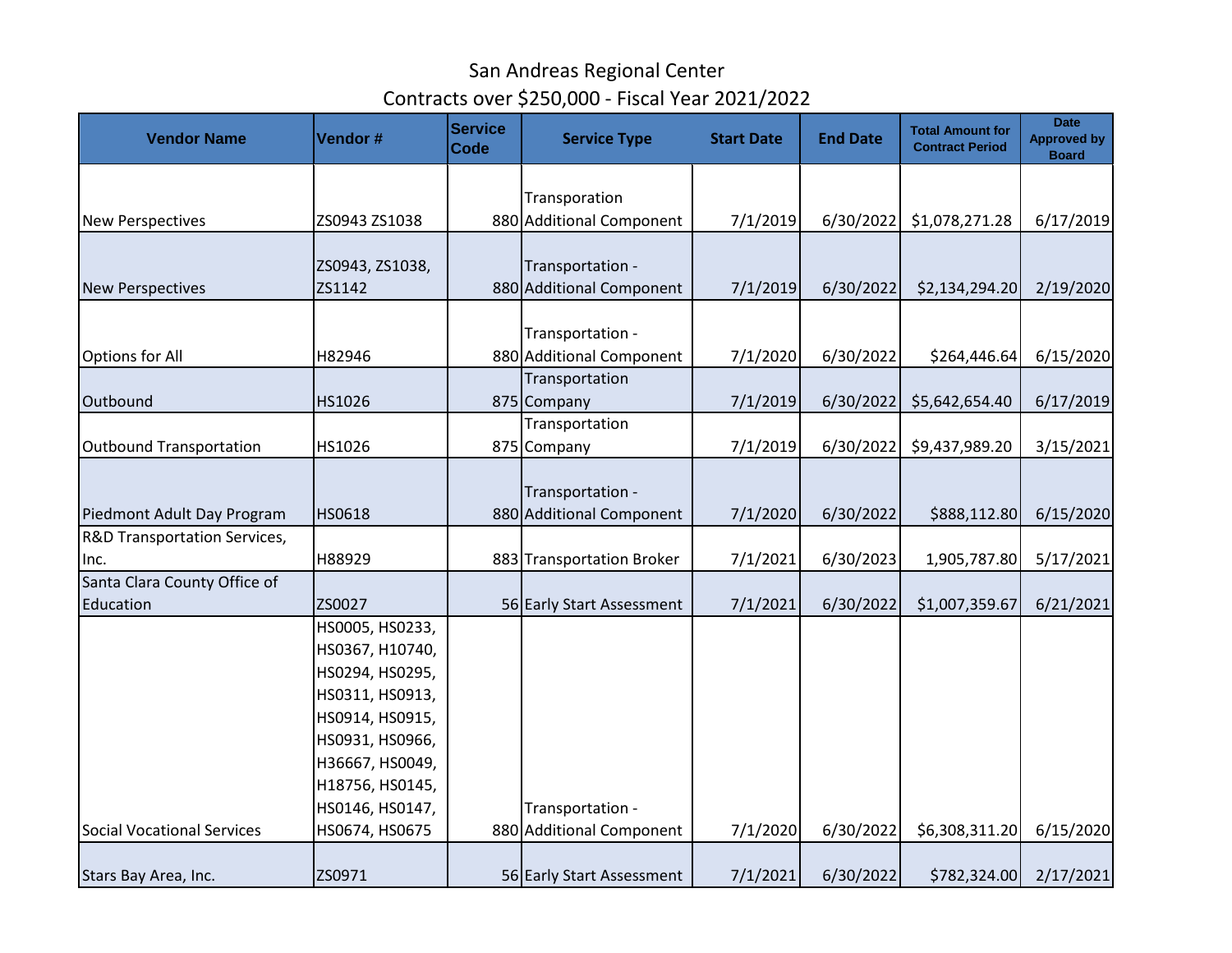| <b>Vendor Name</b>                      | Vendor#         | <b>Service</b><br><b>Code</b> | <b>Service Type</b>                       | <b>Start Date</b> | <b>End Date</b> | <b>Total Amount for</b><br><b>Contract Period</b> | <b>Date</b><br><b>Approved by</b><br><b>Board</b> |
|-----------------------------------------|-----------------|-------------------------------|-------------------------------------------|-------------------|-----------------|---------------------------------------------------|---------------------------------------------------|
|                                         |                 |                               |                                           |                   |                 |                                                   |                                                   |
| <b>New Perspectives</b>                 | ZS0943 ZS1038   |                               | Transporation<br>880 Additional Component | 7/1/2019          | 6/30/2022       | \$1,078,271.28                                    | 6/17/2019                                         |
|                                         |                 |                               |                                           |                   |                 |                                                   |                                                   |
|                                         | ZS0943, ZS1038, |                               | Transportation -                          |                   |                 |                                                   |                                                   |
| <b>New Perspectives</b>                 | ZS1142          |                               | 880 Additional Component                  | 7/1/2019          | 6/30/2022       | \$2,134,294.20                                    | 2/19/2020                                         |
|                                         |                 |                               | Transportation -                          |                   |                 |                                                   |                                                   |
| <b>Options for All</b>                  | H82946          |                               | 880 Additional Component                  | 7/1/2020          | 6/30/2022       | \$264,446.64                                      | 6/15/2020                                         |
|                                         |                 |                               | Transportation                            |                   |                 |                                                   |                                                   |
| Outbound                                | HS1026          |                               | 875 Company                               | 7/1/2019          | 6/30/2022       | \$5,642,654.40                                    | 6/17/2019                                         |
|                                         |                 |                               | Transportation                            |                   |                 |                                                   |                                                   |
| Outbound Transportation                 | HS1026          |                               | 875 Company                               | 7/1/2019          | 6/30/2022       | \$9,437,989.20                                    | 3/15/2021                                         |
|                                         |                 |                               | Transportation -                          |                   |                 |                                                   |                                                   |
| Piedmont Adult Day Program              | HS0618          |                               | 880 Additional Component                  | 7/1/2020          | 6/30/2022       | \$888,112.80                                      | 6/15/2020                                         |
| <b>R&amp;D Transportation Services,</b> |                 |                               |                                           |                   |                 |                                                   |                                                   |
| Inc.                                    | H88929          |                               | 883 Transportation Broker                 | 7/1/2021          | 6/30/2023       | 1,905,787.80                                      | 5/17/2021                                         |
| Santa Clara County Office of            |                 |                               |                                           |                   |                 |                                                   |                                                   |
| Education                               | ZS0027          |                               | 56 Early Start Assessment                 | 7/1/2021          | 6/30/2022       | \$1,007,359.67                                    | 6/21/2021                                         |
|                                         | HS0005, HS0233, |                               |                                           |                   |                 |                                                   |                                                   |
|                                         | HS0367, H10740, |                               |                                           |                   |                 |                                                   |                                                   |
|                                         | HS0294, HS0295, |                               |                                           |                   |                 |                                                   |                                                   |
|                                         | HS0311, HS0913, |                               |                                           |                   |                 |                                                   |                                                   |
|                                         | HS0914, HS0915, |                               |                                           |                   |                 |                                                   |                                                   |
|                                         | HS0931, HS0966, |                               |                                           |                   |                 |                                                   |                                                   |
|                                         | H36667, HS0049, |                               |                                           |                   |                 |                                                   |                                                   |
|                                         | H18756, HS0145, |                               |                                           |                   |                 |                                                   |                                                   |
|                                         | HS0146, HS0147, |                               | Transportation -                          |                   |                 |                                                   |                                                   |
| <b>Social Vocational Services</b>       | HS0674, HS0675  |                               | 880 Additional Component                  | 7/1/2020          | 6/30/2022       | \$6,308,311.20                                    | 6/15/2020                                         |
|                                         |                 |                               |                                           |                   |                 |                                                   |                                                   |
| Stars Bay Area, Inc.                    | ZS0971          |                               | 56 Early Start Assessment                 | 7/1/2021          | 6/30/2022       | \$782,324.00                                      | 2/17/2021                                         |